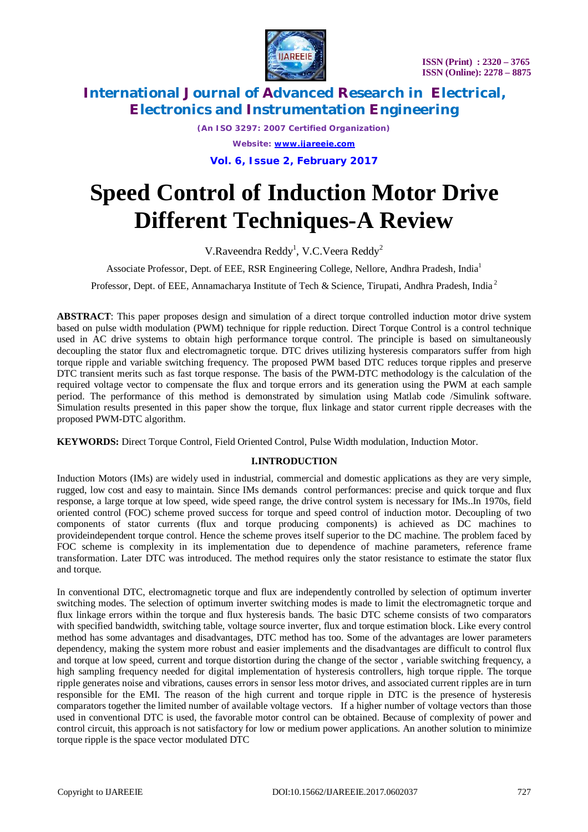

*(An ISO 3297: 2007 Certified Organization) Website: [www.ijareeie.com](http://www.ijareeie.com)* **Vol. 6, Issue 2, February 2017**

# **Speed Control of Induction Motor Drive Different Techniques-A Review**

V.Raveendra Reddy<sup>1</sup>, V.C.Veera Reddy<sup>2</sup>

Associate Professor, Dept. of EEE, RSR Engineering College, Nellore, Andhra Pradesh, India<sup>1</sup>

Professor, Dept. of EEE, Annamacharya Institute of Tech & Science, Tirupati, Andhra Pradesh, India<sup>2</sup>

**ABSTRACT**: This paper proposes design and simulation of a direct torque controlled induction motor drive system based on pulse width modulation (PWM) technique for ripple reduction. Direct Torque Control is a control technique used in AC drive systems to obtain high performance torque control. The principle is based on simultaneously decoupling the stator flux and electromagnetic torque. DTC drives utilizing hysteresis comparators suffer from high torque ripple and variable switching frequency. The proposed PWM based DTC reduces torque ripples and preserve DTC transient merits such as fast torque response. The basis of the PWM-DTC methodology is the calculation of the required voltage vector to compensate the flux and torque errors and its generation using the PWM at each sample period. The performance of this method is demonstrated by simulation using Matlab code /Simulink software. Simulation results presented in this paper show the torque, flux linkage and stator current ripple decreases with the proposed PWM-DTC algorithm.

**KEYWORDS:** Direct Torque Control, Field Oriented Control, Pulse Width modulation, Induction Motor.

### **I.INTRODUCTION**

Induction Motors (IMs) are widely used in industrial, commercial and domestic applications as they are very simple, rugged, low cost and easy to maintain. Since IMs demands control performances: precise and quick torque and flux response, a large torque at low speed, wide speed range, the drive control system is necessary for IMs..In 1970s, field oriented control (FOC) scheme proved success for torque and speed control of induction motor. Decoupling of two components of stator currents (flux and torque producing components) is achieved as DC machines to provideindependent torque control. Hence the scheme proves itself superior to the DC machine. The problem faced by FOC scheme is complexity in its implementation due to dependence of machine parameters, reference frame transformation. Later DTC was introduced. The method requires only the stator resistance to estimate the stator flux and torque.

In conventional DTC, electromagnetic torque and flux are independently controlled by selection of optimum inverter switching modes. The selection of optimum inverter switching modes is made to limit the electromagnetic torque and flux linkage errors within the torque and flux hysteresis bands. The basic DTC scheme consists of two comparators with specified bandwidth, switching table, voltage source inverter, flux and torque estimation block. Like every control method has some advantages and disadvantages, DTC method has too. Some of the advantages are lower parameters dependency, making the system more robust and easier implements and the disadvantages are difficult to control flux and torque at low speed, current and torque distortion during the change of the sector , variable switching frequency, a high sampling frequency needed for digital implementation of hysteresis controllers, high torque ripple. The torque ripple generates noise and vibrations, causes errors in sensor less motor drives, and associated current ripples are in turn responsible for the EMI. The reason of the high current and torque ripple in DTC is the presence of hysteresis comparators together the limited number of available voltage vectors. If a higher number of voltage vectors than those used in conventional DTC is used, the favorable motor control can be obtained. Because of complexity of power and control circuit, this approach is not satisfactory for low or medium power applications. An another solution to minimize torque ripple is the space vector modulated DTC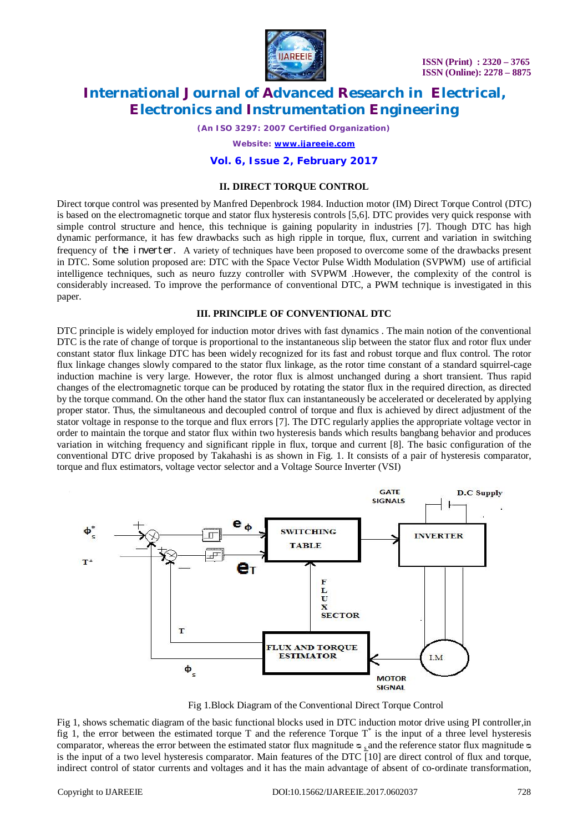**ISSN (Print) : 2320 – 3765 ISSN (Online): 2278 – 8875**



### **International Journal of Advanced Research in Electrical, Electronics and Instrumentation Engineering**

*(An ISO 3297: 2007 Certified Organization)*

*Website: [www.ijareeie.com](http://www.ijareeie.com)*

### **Vol. 6, Issue 2, February 2017**

#### **II. DIRECT TORQUE CONTROL**

Direct torque control was presented by Manfred Depenbrock 1984. Induction motor (IM) Direct Torque Control (DTC) is based on the electromagnetic torque and stator flux hysteresis controls [5,6]. DTC provides very quick response with simple control structure and hence, this technique is gaining popularity in industries [7]. Though DTC has high dynamic performance, it has few drawbacks such as high ripple in torque, flux, current and variation in switching frequency of the inverter. A variety of techniques have been proposed to overcome some of the drawbacks present in DTC. Some solution proposed are: DTC with the Space Vector Pulse Width Modulation (SVPWM) use of artificial intelligence techniques, such as neuro fuzzy controller with SVPWM .However, the complexity of the control is considerably increased. To improve the performance of conventional DTC, a PWM technique is investigated in this paper.

#### **III. PRINCIPLE OF CONVENTIONAL DTC**

DTC principle is widely employed for induction motor drives with fast dynamics . The main notion of the conventional DTC is the rate of change of torque is proportional to the instantaneous slip between the stator flux and rotor flux under constant stator flux linkage DTC has been widely recognized for its fast and robust torque and flux control. The rotor flux linkage changes slowly compared to the stator flux linkage, as the rotor time constant of a standard squirrel-cage induction machine is very large. However, the rotor flux is almost unchanged during a short transient. Thus rapid changes of the electromagnetic torque can be produced by rotating the stator flux in the required direction, as directed by the torque command. On the other hand the stator flux can instantaneously be accelerated or decelerated by applying proper stator. Thus, the simultaneous and decoupled control of torque and flux is achieved by direct adjustment of the stator voltage in response to the torque and flux errors [7]. The DTC regularly applies the appropriate voltage vector in order to maintain the torque and stator flux within two hysteresis bands which results bangbang behavior and produces variation in witching frequency and significant ripple in flux, torque and current [8]. The basic configuration of the conventional DTC drive proposed by Takahashi is as shown in Fig. 1. It consists of a pair of hysteresis comparator, torque and flux estimators, voltage vector selector and a Voltage Source Inverter (VSI)



Fig 1.Block Diagram of the Conventional Direct Torque Control

Fig 1, shows schematic diagram of the basic functional blocks used in DTC induction motor drive using PI controller,in fig 1, the error between the estimated torque  $T$  and the reference Torque  $T^*$  is the input of a three level hysteresis comparator, whereas the error between the estimated stator flux magnitude  $\infty$ , and the reference stator flux magnitude  $\infty$ is the input of a two level hysteresis comparator. Main features of the DTC [10] are direct control of flux and torque, indirect control of stator currents and voltages and it has the main advantage of absent of co-ordinate transformation,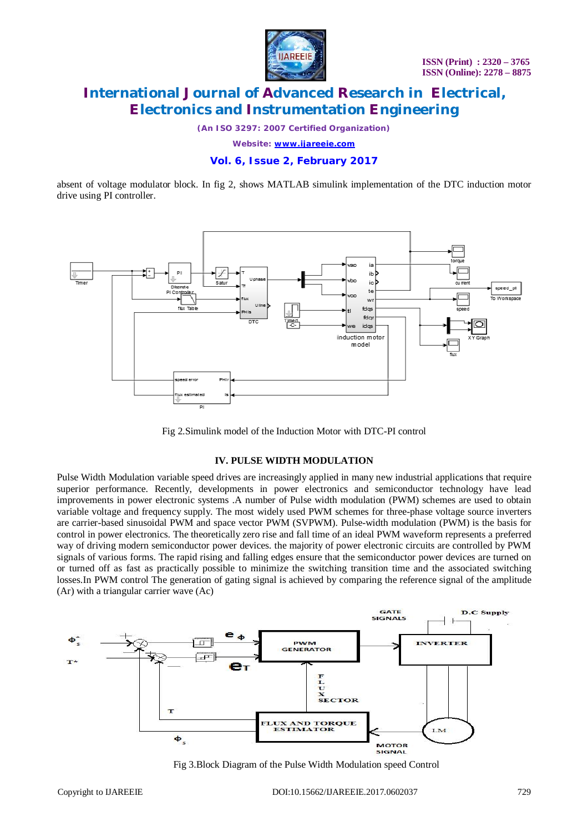

*(An ISO 3297: 2007 Certified Organization)*

*Website: [www.ijareeie.com](http://www.ijareeie.com)*

### **Vol. 6, Issue 2, February 2017**

absent of voltage modulator block. In fig 2, shows MATLAB simulink implementation of the DTC induction motor drive using PI controller.



Fig 2.Simulink model of the Induction Motor with DTC-PI control

#### **IV. PULSE WIDTH MODULATION**

Pulse Width Modulation variable speed drives are increasingly applied in many new industrial applications that require superior performance. Recently, developments in power electronics and semiconductor technology have lead improvements in power electronic systems .A number of Pulse width modulation (PWM) schemes are used to obtain variable voltage and frequency supply. The most widely used PWM schemes for three-phase voltage source inverters are carrier-based sinusoidal PWM and space vector PWM (SVPWM). Pulse-width modulation (PWM) is the basis for control in power electronics. The theoretically zero rise and fall time of an ideal PWM waveform represents a preferred way of driving modern semiconductor power devices. the majority of power electronic circuits are controlled by PWM signals of various forms. The rapid rising and falling edges ensure that the semiconductor power devices are turned on or turned off as fast as practically possible to minimize the switching transition time and the associated switching losses.In PWM control The generation of gating signal is achieved by comparing the reference signal of the amplitude (Ar) with a triangular carrier wave (Ac)



Fig 3.Block Diagram of the Pulse Width Modulation speed Control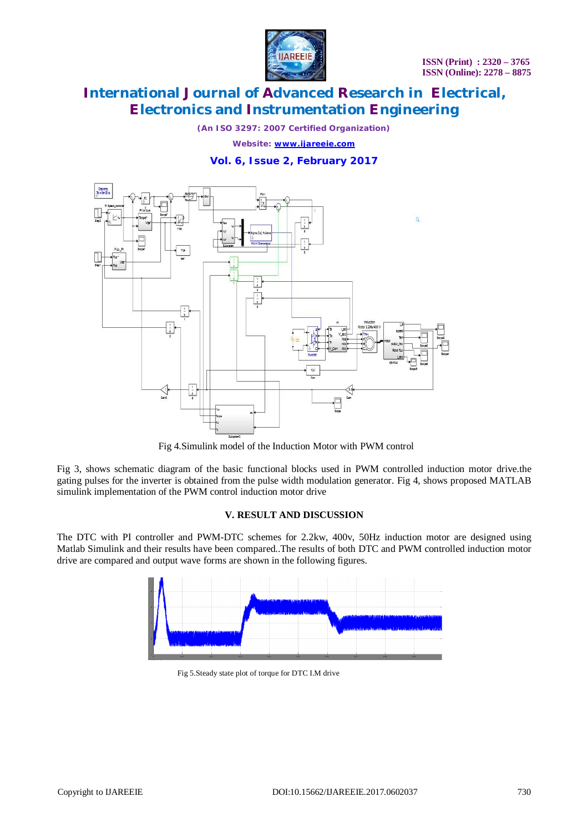

*(An ISO 3297: 2007 Certified Organization)*

*Website: [www.ijareeie.com](http://www.ijareeie.com)*

### **Vol. 6, Issue 2, February 2017**



Fig 4.Simulink model of the Induction Motor with PWM control

Fig 3, shows schematic diagram of the basic functional blocks used in PWM controlled induction motor drive.the gating pulses for the inverter is obtained from the pulse width modulation generator. Fig 4, shows proposed MATLAB simulink implementation of the PWM control induction motor drive

#### **V. RESULT AND DISCUSSION**

The DTC with PI controller and PWM-DTC schemes for 2.2kw, 400v, 50Hz induction motor are designed using Matlab Simulink and their results have been compared..The results of both DTC and PWM controlled induction motor drive are compared and output wave forms are shown in the following figures.



Fig 5.Steady state plot of torque for DTC I.M drive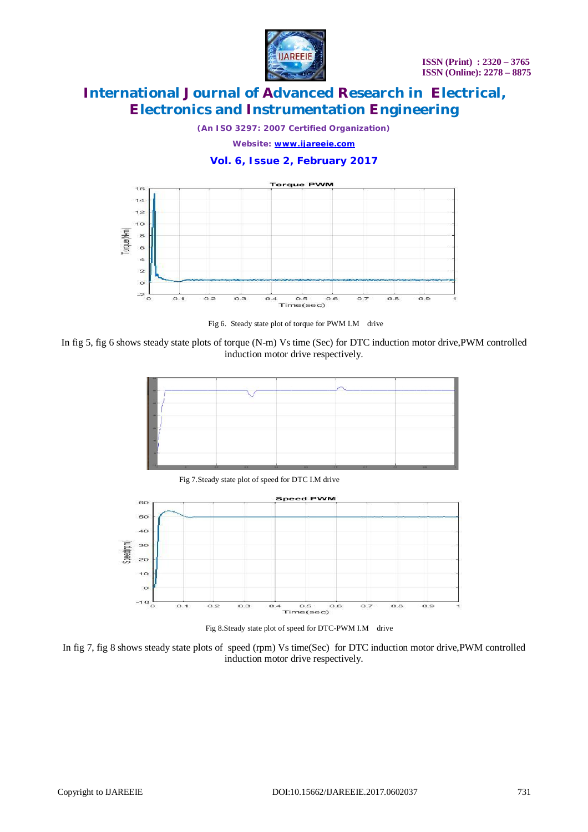

*(An ISO 3297: 2007 Certified Organization)*

*Website: [www.ijareeie.com](http://www.ijareeie.com)*

### **Vol. 6, Issue 2, February 2017**



Fig 6. Steady state plot of torque for PWM I.M drive

In fig 5, fig 6 shows steady state plots of torque (N-m) Vs time (Sec) for DTC induction motor drive,PWM controlled induction motor drive respectively.



Fig 7.Steady state plot of speed for DTC I.M drive



Fig 8.Steady state plot of speed for DTC-PWM I.M drive

In fig 7, fig 8 shows steady state plots of speed (rpm) Vs time(Sec) for DTC induction motor drive,PWM controlled induction motor drive respectively.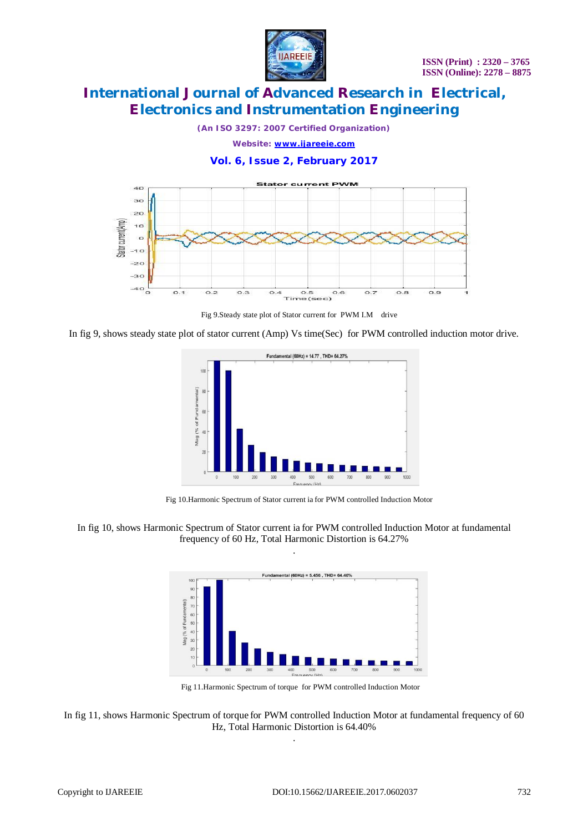

*(An ISO 3297: 2007 Certified Organization)*

*Website: [www.ijareeie.com](http://www.ijareeie.com)*

**Vol. 6, Issue 2, February 2017**



Fig 9.Steady state plot of Stator current for PWM I.M drive

In fig 9, shows steady state plot of stator current (Amp) Vs time(Sec) for PWM controlled induction motor drive.



Fig 10.Harmonic Spectrum of Stator current ia for PWM controlled Induction Motor

In fig 10, shows Harmonic Spectrum of Stator current ia for PWM controlled Induction Motor at fundamental frequency of 60 Hz, Total Harmonic Distortion is 64.27% .



Fig 11.Harmonic Spectrum of torque for PWM controlled Induction Motor

In fig 11, shows Harmonic Spectrum of torque for PWM controlled Induction Motor at fundamental frequency of 60 Hz, Total Harmonic Distortion is 64.40% .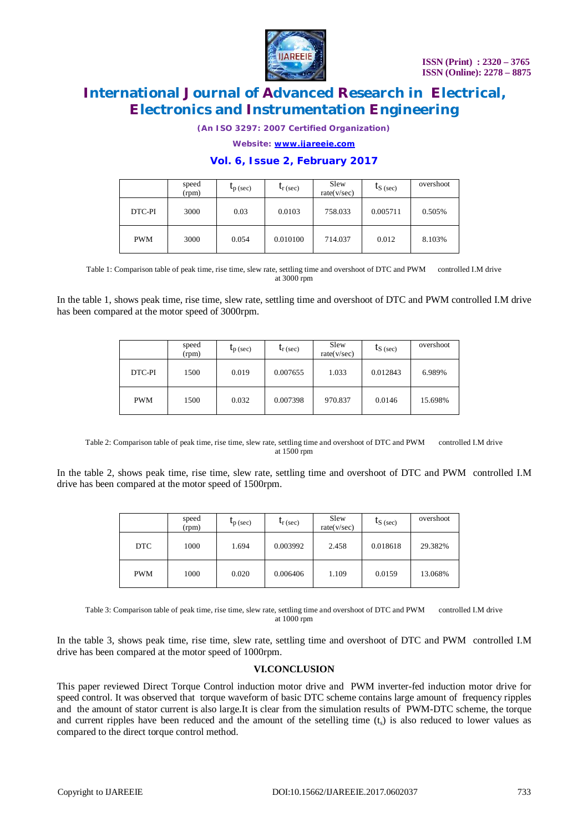

*(An ISO 3297: 2007 Certified Organization)*

*Website: [www.ijareeie.com](http://www.ijareeie.com)*

#### **Vol. 6, Issue 2, February 2017**

|            | speed<br>(rpm) | $\iota_{p}$ (sec) | $t_{r}$ (sec) | Slew<br>rate(v/sec) | $t_{S (sec)}$ | overshoot |
|------------|----------------|-------------------|---------------|---------------------|---------------|-----------|
| DTC-PI     | 3000           | 0.03              | 0.0103        | 758.033             | 0.005711      | 0.505%    |
| <b>PWM</b> | 3000           | 0.054             | 0.010100      | 714.037             | 0.012         | 8.103%    |

Table 1: Comparison table of peak time, rise time, slew rate, settling time and overshoot of DTC and PWM controlled I.M drive at 3000 rpm

In the table 1, shows peak time, rise time, slew rate, settling time and overshoot of DTC and PWM controlled I.M drive has been compared at the motor speed of 3000rpm.

|            | speed<br>(rpm) | $\iota_{p}$ (sec) | $\mathsf{L}_{\rm r}$ (sec) | Slew<br>rate(v/sec) | $I_{S}$ (sec) | overshoot |
|------------|----------------|-------------------|----------------------------|---------------------|---------------|-----------|
| DTC-PI     | 1500           | 0.019             | 0.007655                   | 1.033               | 0.012843      | 6.989%    |
| <b>PWM</b> | 1500           | 0.032             | 0.007398                   | 970.837             | 0.0146        | 15.698%   |

Table 2: Comparison table of peak time, rise time, slew rate, settling time and overshoot of DTC and PWM controlled I.M drive at 1500 rpm

In the table 2, shows peak time, rise time, slew rate, settling time and overshoot of DTC and PWM controlled I.M drive has been compared at the motor speed of 1500rpm.

|            | speed<br>(rpm) | $\iota_{p}$ (sec) | $\mathbf{t}_{\rm r}$ (sec) | Slew<br>rate(v/sec) | $t_{S}$ (sec) | overshoot |
|------------|----------------|-------------------|----------------------------|---------------------|---------------|-----------|
| DTC        | 1000           | 1.694             | 0.003992                   | 2.458               | 0.018618      | 29.382%   |
| <b>PWM</b> | 1000           | 0.020             | 0.006406                   | 1.109               | 0.0159        | 13.068%   |

Table 3: Comparison table of peak time, rise time, slew rate, settling time and overshoot of DTC and PWM controlled I.M drive at 1000 rpm

In the table 3, shows peak time, rise time, slew rate, settling time and overshoot of DTC and PWM controlled I.M drive has been compared at the motor speed of 1000rpm.

#### **VI.CONCLUSION**

This paper reviewed Direct Torque Control induction motor drive and PWM inverter-fed induction motor drive for speed control. It was observed that torque waveform of basic DTC scheme contains large amount of frequency ripples and the amount of stator current is also large.It is clear from the simulation results of PWM-DTC scheme, the torque and current ripples have been reduced and the amount of the setelling time  $(t<sub>s</sub>)$  is also reduced to lower values as compared to the direct torque control method.